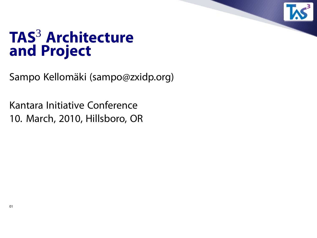

### **TAS**<sup>3</sup> **Architecture and Project**

Sampo Kellomäki (sampo@zxidp.org)

Kantara Initiative Conference 10. March, 2010, Hillsboro, OR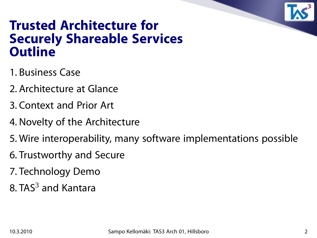

### **Trusted Architecture for Securely Shareable Services Outline**

- 1. Business Case
- 2. Architecture at Glance
- 3. Context and Prior Art
- 4. Novelty of the Architecture
- 5. Wire interoperability, many software implementations possible
- 6. Trustworthy and Secure
- 7. Technology Demo
- 8. TAS $3$  and Kantara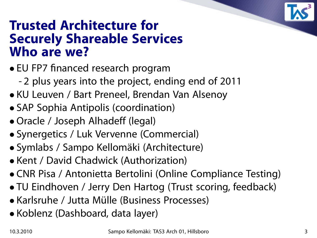

### **Trusted Architecture for Securely Shareable Services Who are we?**

- EU FP7 financed research program
	- 2 plus years into the project, ending end of 2011
- KU Leuven / Bart Preneel, Brendan Van Alsenoy
- SAP Sophia Antipolis (coordination)
- Oracle / Joseph Alhadeff (legal)
- Synergetics / Luk Vervenne (Commercial)
- Symlabs / Sampo Kellomäki (Architecture)
- Kent / David Chadwick (Authorization)
- CNR Pisa / Antonietta Bertolini (Online Compliance Testing)
- TU Eindhoven / Jerry Den Hartog (Trust scoring, feedback)
- Karlsruhe / Jutta Mülle (Business Processes)
- Koblenz (Dashboard, data layer)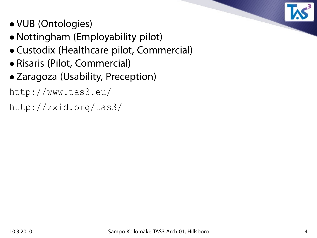

- VUB (Ontologies)
- Nottingham (Employability pilot)
- Custodix (Healthcare pilot, Commercial)
- Risaris (Pilot, Commercial)
- Zaragoza (Usability, Preception)

http://www.tas3.eu/

http://zxid.org/tas3/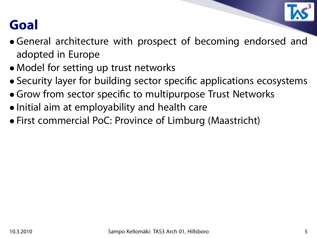

### **Goal**

- General architecture with prospect of becoming endorsed and adopted in Europe
- Model for setting up trust networks
- Security layer for building sector specific applications ecosystems
- Grow from sector specific to multipurpose Trust Networks
- Initial aim at employability and health care
- First commercial PoC: Province of Limburg (Maastricht)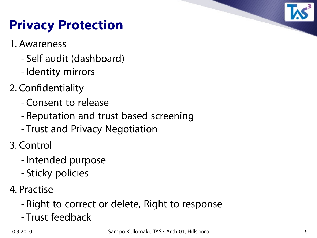

# **Privacy Protection**

- 1. Awareness
	- Self audit (dashboard)
	- Identity mirrors
- 2. Confidentiality
	- Consent to release
	- Reputation and trust based screening
	- Trust and Privacy Negotiation
- 3. Control
	- Intended purpose
	- Sticky policies
- 4. Practise
	- Right to correct or delete, Right to response
	- Trust feedback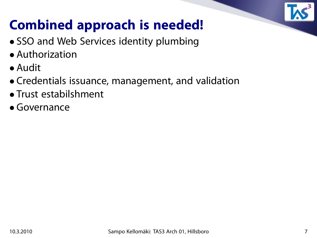

# **Combined approach is needed!**

- SSO and Web Services identity plumbing
- Authorization
- Audit
- Credentials issuance, management, and validation
- Trust estabilshment
- Governance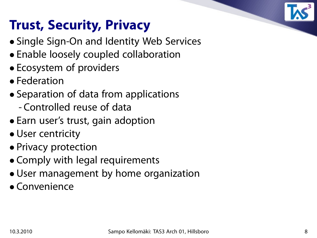# **Trust, Security, Privacy**

- Single Sign-On and Identity Web Services
- Enable loosely coupled collaboration
- Ecosystem of providers
- Federation
- Separation of data from applications
	- Controlled reuse of data
- Earn user's trust, gain adoption
- User centricity
- Privacy protection
- Comply with legal requirements
- User management by home organization
- Convenience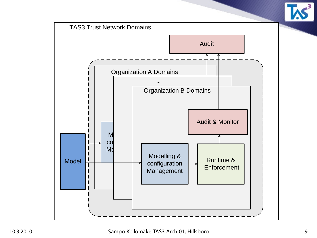

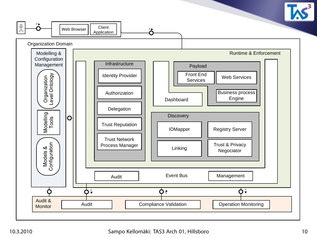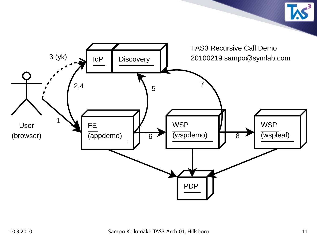

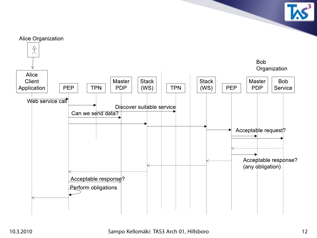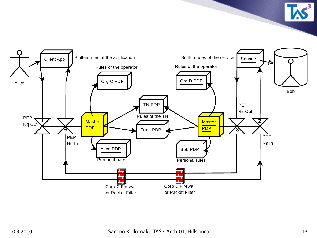

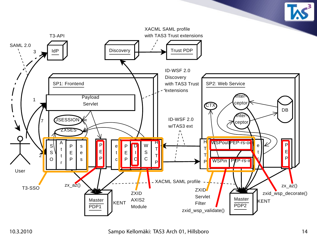

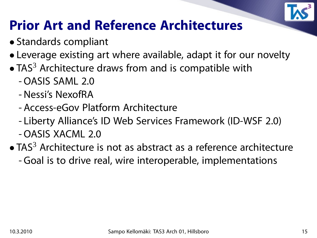

### **Prior Art and Reference Architectures**

- Standards compliant
- Leverage existing art where available, adapt it for our novelty
- $\bullet$  TAS<sup>3</sup> Architecture draws from and is compatible with
	- OASIS SAML 2.0
	- Nessi's NexofRA
	- Access-eGov Platform Architecture
	- Liberty Alliance's ID Web Services Framework (ID-WSF 2.0) - OASIS XACML 2.0
- $\bullet$  TAS<sup>3</sup> Architecture is not as abstract as a reference architecture - Goal is to drive real, wire interoperable, implementations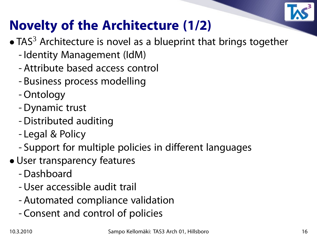

# **Novelty of the Architecture (1/2)**

- $\bullet$  TAS<sup>3</sup> Architecture is novel as a blueprint that brings together
	- Identity Management (IdM)
	- Attribute based access control
	- Business process modelling
	- Ontology
	- Dynamic trust
	- Distributed auditing
	- Legal & Policy
	- Support for multiple policies in different languages
- User transparency features
	- Dashboard
	- User accessible audit trail
	- Automated compliance validation
	- Consent and control of policies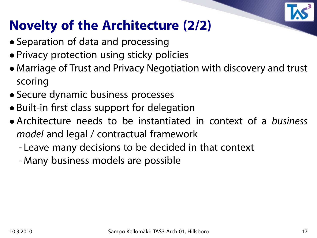

## **Novelty of the Architecture (2/2)**

- Separation of data and processing
- Privacy protection using sticky policies
- Marriage of Trust and Privacy Negotiation with discovery and trust scoring
- Secure dynamic business processes
- Built-in first class support for delegation
- Architecture needs to be instantiated in context of a business model and legal / contractual framework
	- Leave many decisions to be decided in that context
	- Many business models are possible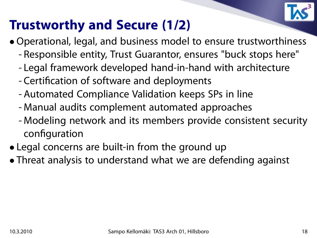

### **Trustworthy and Secure (1/2)**

- Operational, legal, and business model to ensure trustworthiness
	- Responsible entity, Trust Guarantor, ensures "buck stops here"
	- Legal framework developed hand-in-hand with architecture
	- Certification of software and deployments
	- Automated Compliance Validation keeps SPs in line
	- Manual audits complement automated approaches
	- Modeling network and its members provide consistent security configuration
- Legal concerns are built-in from the ground up
- Threat analysis to understand what we are defending against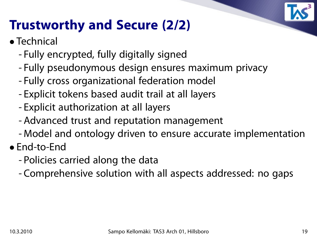

### **Trustworthy and Secure (2/2)**

- Technical
	- Fully encrypted, fully digitally signed
	- Fully pseudonymous design ensures maximum privacy
	- Fully cross organizational federation model
	- Explicit tokens based audit trail at all layers
	- Explicit authorization at all layers
	- Advanced trust and reputation management
	- Model and ontology driven to ensure accurate implementation
- End-to-End
	- Policies carried along the data
	- Comprehensive solution with all aspects addressed: no gaps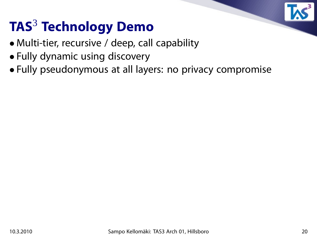

# **TAS**<sup>3</sup> **Technology Demo**

- Multi-tier, recursive / deep, call capability
- Fully dynamic using discovery
- Fully pseudonymous at all layers: no privacy compromise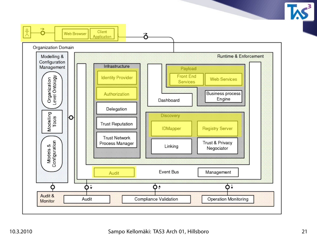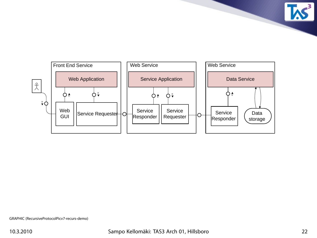

**TAS**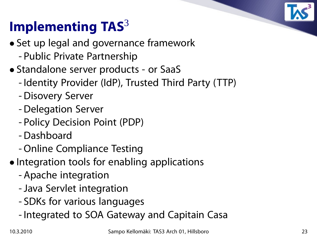# **Implementing TAS**<sup>3</sup>

- Set up legal and governance framework
	- Public Private Partnership
- Standalone server products or SaaS
	- Identity Provider (IdP), Trusted Third Party (TTP)
	- Disovery Server
	- Delegation Server
	- Policy Decision Point (PDP)
	- Dashboard
	- Online Compliance Testing
- Integration tools for enabling applications
	- Apache integration
	- -Java Servlet integration
	- SDKs for various languages
	- Integrated to SOA Gateway and Capitain Casa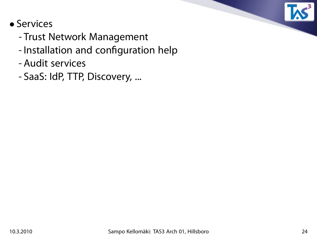

### • Services

- Trust Network Management
- Installation and configuration help
- Audit services
- SaaS: IdP, TTP, Discovery, ...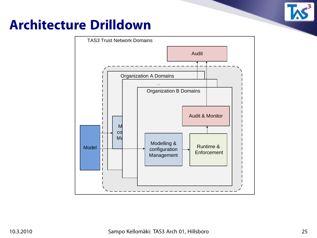

### **Architecture Drilldown**

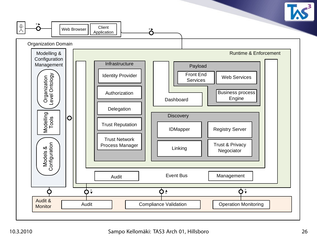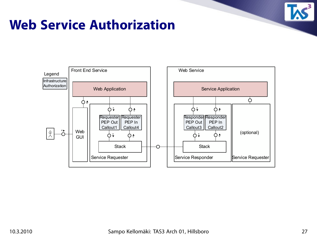

### **Web Service Authorization**

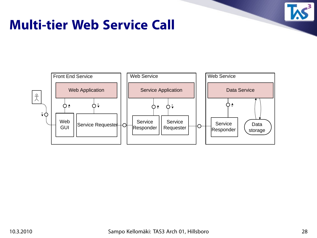

### **Multi-tier Web Service Call**

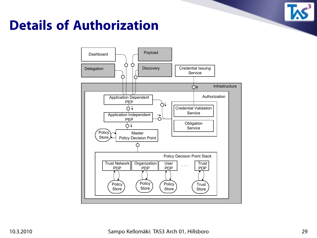

### **Details of Authorization**

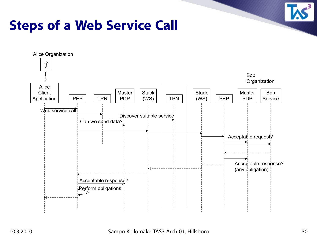

### **Steps of a Web Service Call**

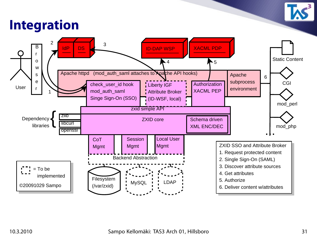

### **Integration**

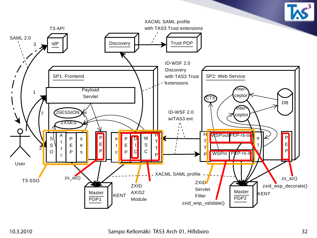

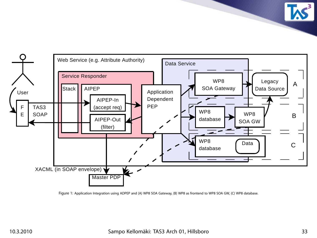Service Responder TAS3 SOAP **Stack** Master PDP XACML (in SOAP envelope) Web Service (e.g. Attribute Authority) Data Service User F E AIPEP-In (accept req) AIPEP-Out (filter) AIPEP Application Dependent PEP Legacy Data Source Data A B C WP8 SOA Gateway WP8 SOA GW WP8 database WP8 database

Figure 1: Application Integration using ADPEP and (A) WP8 SOA Gateway, (B) WP8 as frontend to WP8 SOA GW, (C) WP8 database.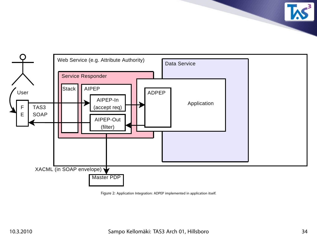

Figure 2: Application Integration: ADPEP implemented in application itself.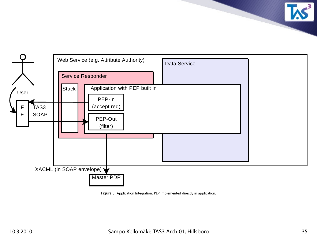

Figure 3: Application Integration: PEP implemented directly in application.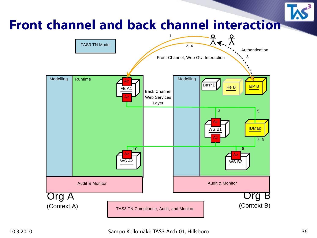### **Front channel and back channel interaction** 1

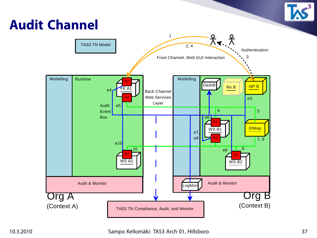# **Audit Channel**

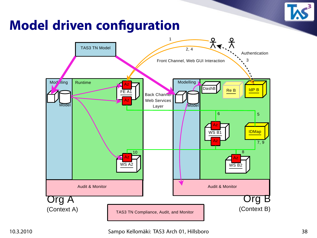

# **Model driven configuration**

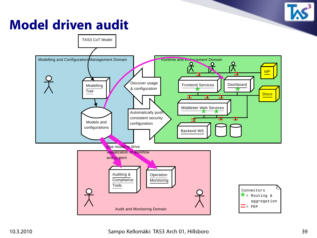### **Model driven audit**

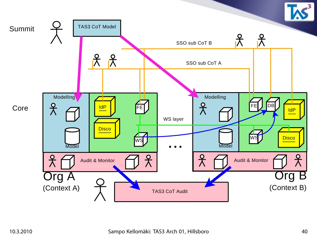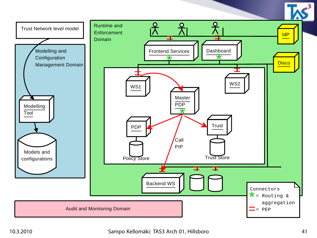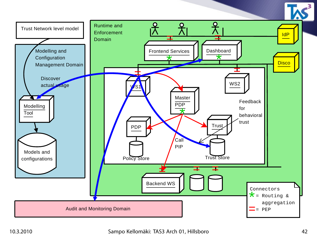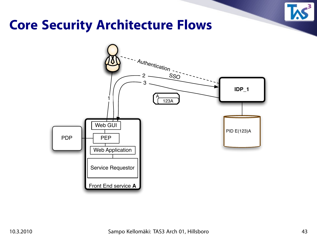

### **Core Security Architecture Flows**

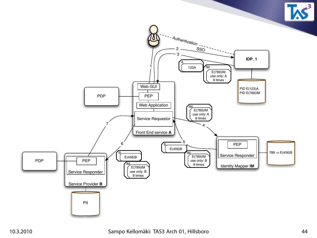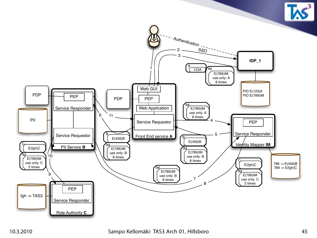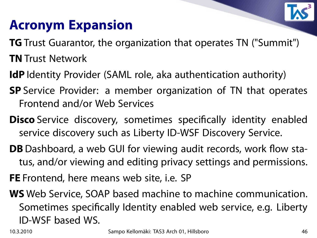

### **Acronym Expansion**

- **TG** Trust Guarantor, the organization that operates TN ("Summit")
- **TN** Trust Network
- **IdP** Identity Provider (SAML role, aka authentication authority)
- **SP** Service Provider: a member organization of TN that operates Frontend and/or Web Services
- **Disco** Service discovery, sometimes specifically identity enabled service discovery such as Liberty ID-WSF Discovery Service.
- **DB** Dashboard, a web GUI for viewing audit records, work flow status, and/or viewing and editing privacy settings and permissions.
- **FE** Frontend, here means web site, i.e. SP
- **WS** Web Service, SOAP based machine to machine communication. Sometimes specifically Identity enabled web service, e.g. Liberty ID-WSF based WS.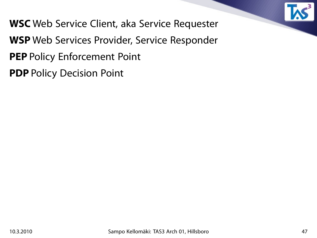

- **WSC** Web Service Client, aka Service Requester
- **WSP** Web Services Provider, Service Responder
- **PEP** Policy Enforcement Point
- **PDP** Policy Decision Point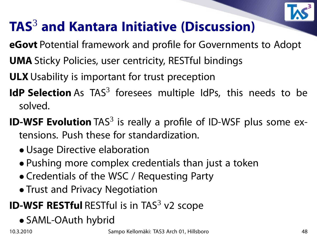

# **TAS**<sup>3</sup> **and Kantara Initiative (Discussion)**

- **eGovt** Potential framework and profile for Governments to Adopt
- **UMA** Sticky Policies, user centricity, RESTful bindings
- **ULX** Usability is important for trust preception
- IdP Selection As TAS<sup>3</sup> foresees multiple IdPs, this needs to be solved.
- **ID-WSF Evolution** TAS<sup>3</sup> is really a profile of ID-WSF plus some extensions. Push these for standardization.
	- Usage Directive elaboration
	- Pushing more complex credentials than just a token
	- Credentials of the WSC / Requesting Party
	- Trust and Privacy Negotiation

### **ID-WSF RESTful** RESTful is in TAS<sup>3</sup> v2 scope

• SAML-OAuth hybrid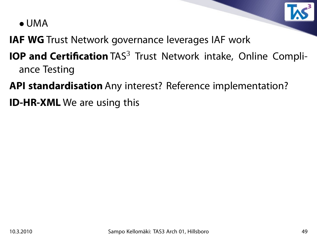

• UMA

**IAF WG** Trust Network governance leverages IAF work

- **IOP and Certification** TAS<sup>3</sup> Trust Network intake, Online Compliance Testing
- **API standardisation** Any interest? Reference implementation?
- **ID-HR-XML** We are using this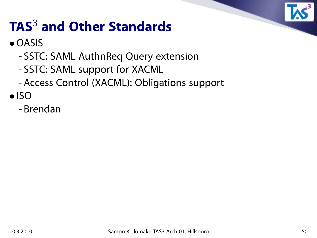

# **TAS**<sup>3</sup> **and Other Standards**

### • OASIS

- SSTC: SAML AuthnReq Query extension
- SSTC: SAML support for XACML
- Access Control (XACML): Obligations support

• ISO

- Brendan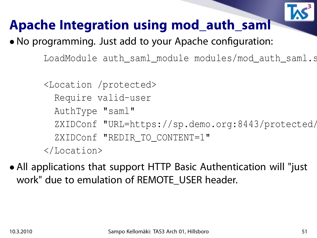

### **Apache Integration using mod\_auth\_saml**

- No programming. Just add to your Apache configuration:
	- LoadModule auth\_saml\_module modules/mod\_auth\_saml.s
	- <Location /protected>
		- Require valid-user
		- AuthType "saml"
		- ZXIDConf "URL=https://sp.demo.org:8443/protected/
		- ZXIDConf "REDIR TO CONTENT=1"
	- </Location>
- All applications that support HTTP Basic Authentication will "just work" due to emulation of REMOTE USER header.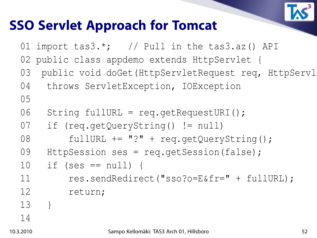

### **SSO Servlet Approach for Tomcat**

01 import tas3.\*; // Pull in the tas3.az() API 02 public class appdemo extends HttpServlet { 03 public void doGet (HttpServletRequest req, HttpServl 04 throws ServletException, IOException 05 06 String fullURL = req.getRequestURI(); 07 if (req.getQueryString() != null) 08 fullURL += "?" + req.getQueryString(); 09 HttpSession ses = req.qetSession(false);  $10$  if (ses ==  $null)$  { 11 res.sendRedirect("sso?o=E&fr=" + fullURL); 12 return; 13 } 14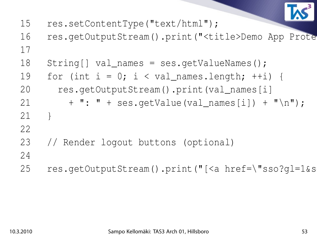

- 15 res.setContentType("text/html");
- 16 res.getOutputStream().print("<title>Demo App Prote 17
- 18 String[] val\_names = ses.getValueNames();
- 19 for (int  $i = 0$ ;  $i < val$  names.length;  $++i$ ) {
- 20 res.getOutputStream().print(val\_names[i]
- 21 + ": " + ses.getValue(val\_names[i]) + "\n");
- 21 }
- 22
- 23 // Render logout buttons (optional)
- 24
	- 25 res.getOutputStream().print("[<a href=\"sso?gl=1&s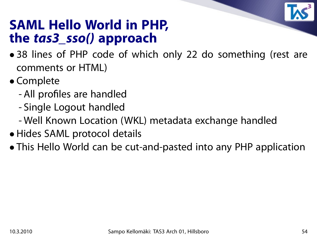

### **SAML Hello World in PHP, the tas3\_sso() approach**

- 38 lines of PHP code of which only 22 do something (rest are comments or HTML)
- Complete
	- All profiles are handled
	- Single Logout handled
	- Well Known Location (WKL) metadata exchange handled
- Hides SAML protocol details
- This Hello World can be cut-and-pasted into any PHP application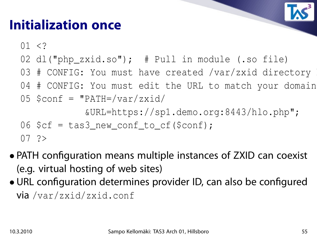### **Initialization once**

 $01 < ?$ 

- 02 dl("php\_zxid.so"); # Pull in module (.so file)
- 03 # CONFIG: You must have created /var/zxid directory
- 04 # CONFIG: You must edit the URL to match your domain

$$
05
$$
 \$conf = "PATH='var/zxid/

&URL=https://sp1.demo.org:8443/hlo.php";

$$
06
$$
  $\zetacf = tas3_new_count_to_cf(\zetaconf);$ 

 $07$  ?>

- PATH configuration means multiple instances of ZXID can coexist (e.g. virtual hosting of web sites)
- URL configuration determines provider ID, can also be configured via /var/zxid/zxid.conf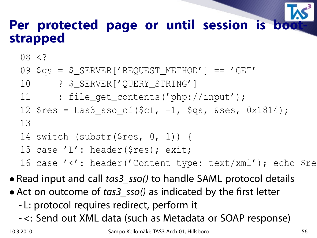### Per protected page or until session is bo **strapped**

08 <?

- 09 \$qs = \$\_SERVER['REQUEST\_METHOD'] == 'GET'
- 10 ? \$\_SERVER['QUERY\_STRING']
- 11 : file\_get\_contents('php://input');
- 12 \$res = tas3\_sso\_cf(\$cf, -1, \$qs, &ses, 0x1814); 13
- 14 switch (substr(\$res, 0, 1)) {
- 15 case 'L': header(\$res); exit;

16 case '<': header('Content-type: text/xml'); echo \$re

- Read input and call tas3\_sso() to handle SAML protocol details
- Act on outcome of tas3\_sso() as indicated by the first letter
	- L: protocol requires redirect, perform it
	- <: Send out XML data (such as Metadata or SOAP response)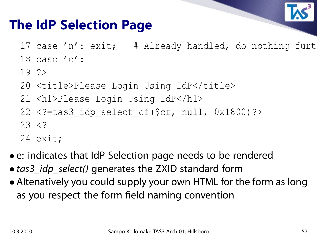

### **The IdP Selection Page**

- 17 case 'n': exit; # Already handled, do nothing furt
- 18 case 'e':
- 19 ?>
- 20 <title>Please Login Using IdP</title>
- 21 <h1>Please Login Using IdP</h1>
- 22 <?=tas3\_idp\_select\_cf(\$cf, null, 0x1800)?>  $23 < 2$
- 24 exit;
- e: indicates that IdP Selection page needs to be rendered
- tas3\_idp\_select() generates the ZXID standard form
- Altenatively you could supply your own HTML for the form as long as you respect the form field naming convention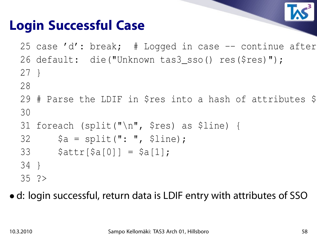

### **Login Successful Case**

25 case 'd': break;  $\#$  Logged in case  $-$  continue after 26 default: die("Unknown tas3\_sso() res(\$res)"); 27 }

- 28
- 29 # Parse the LDIF in \$res into a hash of attributes \$ 30
- 31 foreach (split("\n", \$res) as \$line) {
- $32$   $$a = split(": ", 5line);$
- $33$  \$attr[\$a[0]] = \$a[1];
- 34 }
- 35 ?>

• d: login successful, return data is LDIF entry with attributes of SSO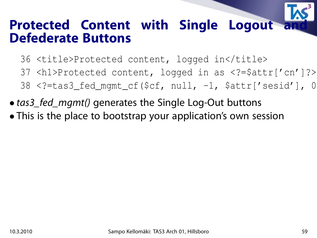# **Protected Content with Single Logout Defederate Buttons**

- 36 <title>Protected content, logged in</title>
- 37 <h1>Protected content, logged in as <?=\$attr['cn']?></h1>
- $38$  <?=tas3\_fed\_mgmt\_cf(\$cf, null, -1, \$attr['sesid'], 0
- tas3\_fed\_mgmt() generates the Single Log-Out buttons
- This is the place to bootstrap your application's own session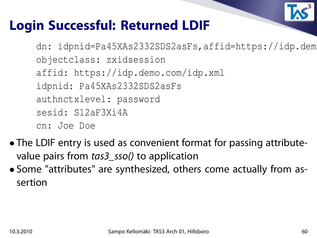

### **Login Successful: Returned LDIF**

dn: idpnid=Pa45XAs2332SDS2asFs,affid=https://idp.dem objectclass: zxidsession affid: https://idp.demo.com/idp.xml idpnid: Pa45XAs2332SDS2asFs authnctxlevel: password sesid: S12aF3Xi4A cn: Joe Doe

- The LDIF entry is used as convenient format for passing attributevalue pairs from tas3\_sso() to application
- Some "attributes" are synthesized, others come actually from assertion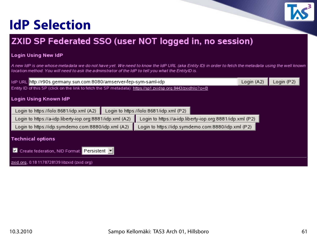### **IdP Selection**



#### Login Using New IdP

A new IdP is one whose metadata we do not have yet. We need to know the IdP URL (aka Entity ID) in order to fetch the metadata using the well known location method. You will need to ask the adminstrator of the IdP to tell you what the EntityID is.

|                                                                                                            | ldP URL http://r90s.germany.sun.com:8080/amserver-fep-sym-saml-idp |                                                          |  | Login (P2). |  |
|------------------------------------------------------------------------------------------------------------|--------------------------------------------------------------------|----------------------------------------------------------|--|-------------|--|
| Entity ID of this SP (click on the link to fetch the SP metadata): https://sp1.zxidsp.org:8443/zxidhlo?o=B |                                                                    |                                                          |  |             |  |
| Login Using Known IdP                                                                                      |                                                                    |                                                          |  |             |  |
| Login to https://lolo:8681/idp.xml (A2)                                                                    | Login to https://lolo:8681/idp.xml (P2)                            |                                                          |  |             |  |
| Login to https://a-idp.liberty-iop.org:8881/idp.xml (A2)                                                   |                                                                    | Login to https://a-idp.liberty-iop.org:8881/idp.xml (P2) |  |             |  |
| Login to https://idp.symdemo.com:8880/idp.xml (A2)                                                         |                                                                    | Login to https://idp.symdemo.com:8880/idp.xml (P2)       |  |             |  |
| Technical options                                                                                          |                                                                    |                                                          |  |             |  |
| Create federation, NID Format: Persistent<br>IИ                                                            |                                                                    |                                                          |  |             |  |
| zxid.org, 0.18 1178728139 libzxid (zxid.org)                                                               |                                                                    |                                                          |  |             |  |

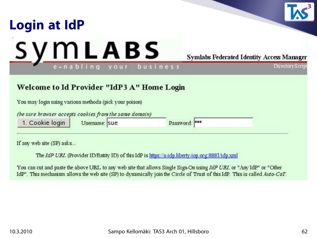

If any web site (SP) asks...

The IdP URL (Provider ID/Entity ID) of this IdP is https://a-idp.liberty-iop.org:8881/idp.xml

You can cut and paste the above URL to any web site that allows Single Sign-On using IdP URL or "Any IdP" or "Other IdP". This mechanism allows the web site (SP) to dynamically join the Circle of Trust of this IdP. This is called Auto-CoT.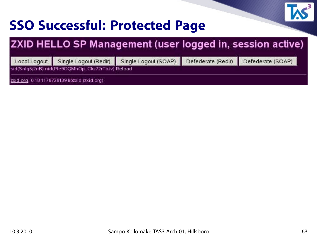

### **SSO Successful: Protected Page**

### ZXID HELLO SP Management (user logged in, session active)

Single Logout (Redir) Local Logout

Single Logout (SOAP)

Defederate (Redir)

Defederate (SOAP)

sid(Snlg5j2nB) nid(Ple9OQMhOpLCkz72rTbJv) Reload

zxid.org, 0.18 1178728139 libzxid (zxid.org)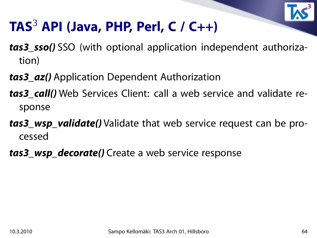

### **TAS**<sup>3</sup> **API (Java, PHP, Perl, C / C++)**

- **tas3\_sso()** SSO (with optional application independent authorization)
- **tas3\_az()** Application Dependent Authorization
- **tas3 call()** Web Services Client: call a web service and validate response
- **tas3\_wsp\_validate()** Validate that web service request can be processed
- **tas3** wsp decorate() Create a web service response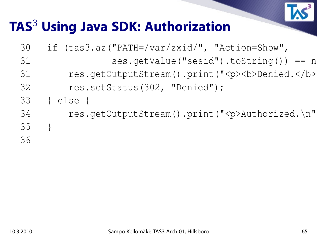

### **TAS**<sup>3</sup> **Using Java SDK: Authorization**

| if $(tas3.az('PATH='var/zxid/", "Action=Show",$      |
|------------------------------------------------------|
| $ses.getValue("sesid"); to String() == n$            |
| res.getOutputStream().print(" <p><b>Denied.</b></p>  |
| res.setStatus(302, "Denied");                        |
| else {                                               |
| res.getOutputStream().print(" <p>Authorized.\n" </p> |
|                                                      |
|                                                      |
|                                                      |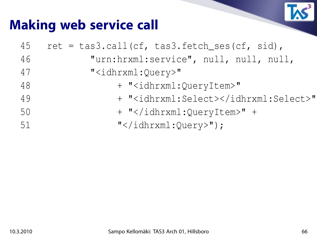

### **Making web service call**

| 45 | $ret = task.call(cf, task.fetch_ses(cf, sid),$ |
|----|------------------------------------------------|
| 46 | "urn:hrxml:service", null, null, null,         |
| 47 | " <idhrxml:query>"</idhrxml:query>             |
| 48 | + " <idhrxml:queryitem>"</idhrxml:queryitem>   |
| 49 | + " <idhrxml:select></idhrxml:select> "        |
| 50 | + "" +                                         |
| 51 | $"$ ");                                        |
|    |                                                |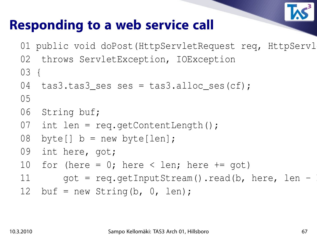

### **Responding to a web service call**

01 public void doPost (HttpServletRequest req, HttpServl

02 throws ServletException, IOException

03 {

```
04 tas3.tas3_ses ses = tas3.alloc_ses(cf);
```
05

```
06 String buf;
```
- 07 int len = req.getContentLength();
- 08 byte[]  $b = new byte[len]$ ;
- 09 int here, got;
- 10 for (here =  $0$ ; here < len; here  $+=$  got)

```
11 got = req.getInputStream().read(b, here, len -
```
12 buf = new String(b,  $0, len$ );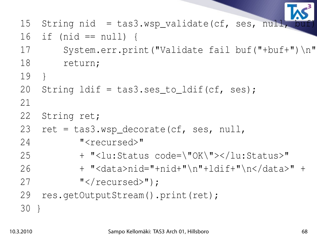15 String nid = tas3.wsp\_validate(cf, ses, null,

- 16 if (nid == null) {
- 17 System.err.print("Validate fail buf("+buf+")\n"
- 18 return;
- 19 }
- 20 String ldif = tas3.ses\_to\_ldif(cf, ses);
- 21
- 22 String ret;
- 23 ret =  $\text{tas3.wsp\_decorate}(cf, \text{ses}, \text{null},$
- 24 "<recursed>"
- 25 + "<lu:Status code=\"OK\"></lu:Status>"
- 26 + "<data>nid="+nid+"\n"+ldif+"\n</data>" +
- 27 "</recursed>");
- 29 res.getOutputStream().print(ret);
- 30 }